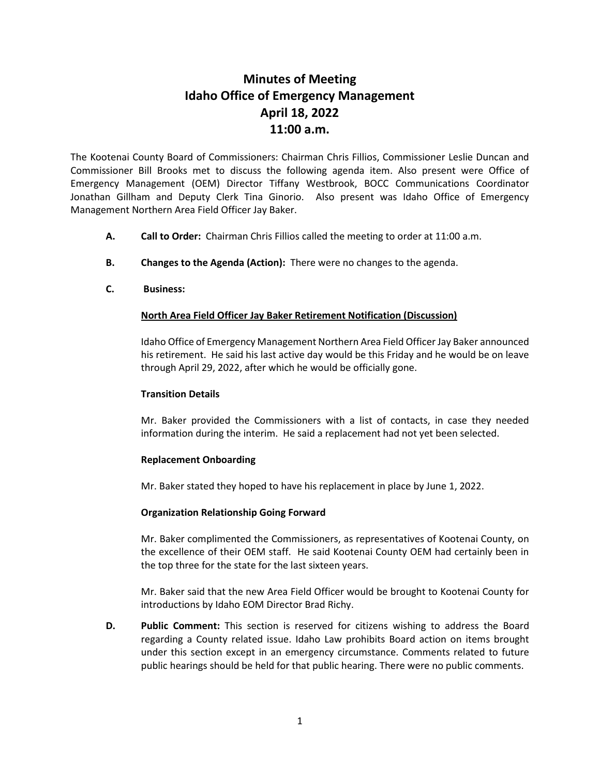# **Minutes of Meeting Idaho Office of Emergency Management April 18, 2022 11:00 a.m.**

The Kootenai County Board of Commissioners: Chairman Chris Fillios, Commissioner Leslie Duncan and Commissioner Bill Brooks met to discuss the following agenda item. Also present were Office of Emergency Management (OEM) Director Tiffany Westbrook, BOCC Communications Coordinator Jonathan Gillham and Deputy Clerk Tina Ginorio. Also present was Idaho Office of Emergency Management Northern Area Field Officer Jay Baker.

- **A. Call to Order:** Chairman Chris Fillios called the meeting to order at 11:00 a.m.
- **B. Changes to the Agenda (Action):** There were no changes to the agenda.
- **C. Business:**

## **North Area Field Officer Jay Baker Retirement Notification (Discussion)**

Idaho Office of Emergency Management Northern Area Field Officer Jay Baker announced his retirement. He said his last active day would be this Friday and he would be on leave through April 29, 2022, after which he would be officially gone.

### **Transition Details**

Mr. Baker provided the Commissioners with a list of contacts, in case they needed information during the interim. He said a replacement had not yet been selected.

#### **Replacement Onboarding**

Mr. Baker stated they hoped to have his replacement in place by June 1, 2022.

#### **Organization Relationship Going Forward**

Mr. Baker complimented the Commissioners, as representatives of Kootenai County, on the excellence of their OEM staff. He said Kootenai County OEM had certainly been in the top three for the state for the last sixteen years.

Mr. Baker said that the new Area Field Officer would be brought to Kootenai County for introductions by Idaho EOM Director Brad Richy.

**D. Public Comment:** This section is reserved for citizens wishing to address the Board regarding a County related issue. Idaho Law prohibits Board action on items brought under this section except in an emergency circumstance. Comments related to future public hearings should be held for that public hearing. There were no public comments.